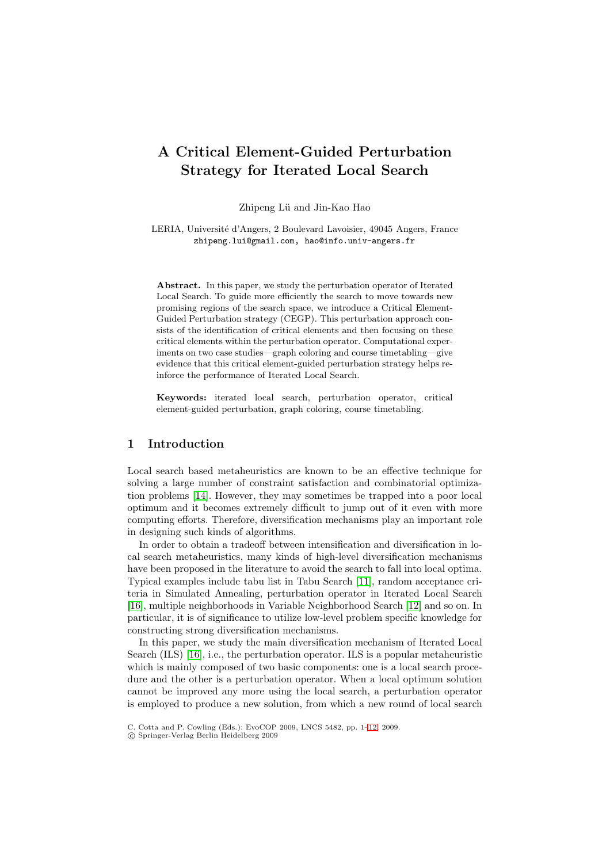# **A Critical Element-Guided Perturbation Strategy for Iterated Local Search**

Zhipeng Lü and Jin-Kao Hao

LERIA, Université d'Angers, 2 Boulevard Lavoisier, 49045 Angers, France zhipeng.lui@gmail.com, hao@info.univ-angers.fr

**Abstract.** In this paper, we study the perturbation operator of Iterated Local Search. To guide more efficiently the search to move towards new promising regions of the search space, we introduce a Critical Element-Guided Perturbation strategy (CEGP). This perturbation approach consists of the identification of critical elements and then focusing on these critical elements within the perturbation operator. Computational experiments on two case studies—graph coloring and course timetabling—give evidence that this critical element-guided perturbation strategy helps reinforce the performance of Iterated Local Search.

**Keywords:** iterated local search, perturbation operator, critical element-guided perturbation, graph coloring, course timetabling.

# **1 Introduction**

Local search based metaheuristics are known to be an effective technique for solving a large number of constraint satisfaction and combinatorial optimization problems [14]. However, they may sometimes be trapped into a poor local optimum and it becomes extremely difficult to jump out of it even with more computing efforts. Therefore, diversification mechanisms play an important role in designing such kinds of algorithms.

In order to [obta](#page-11-0)in a tradeoff between intensification and diversification in local search metaheuristics, many kinds of high-level diversification mechanisms have been proposed in the literature to avoid the search to fall into local optima. Typical examples include tabu list in Tabu Search [11], random acceptance criteria in Simulated Annealing, perturbation operator in Iterated Local Search [16], multiple neighborhoods in Variable Neighborhood Search [12] and so on. In particular, it is of significance to utilize low-level problem specific knowledge for constructing strong diversification mechanisms.

In this paper, we study the main diversification mechanism of Iterated Local [Sea](#page-11-1)rch (ILS) [16], i.e., the perturbation operator. ILS is a popu[lar](#page-11-2) metaheuristic which is mainly composed of two basic components: one is a local search procedure and the other is a perturbation operator. When a local optimum solution cannot be improved any more using the local search, a perturbation operator is employed t[o p](#page-11-1)roduce a new solution, from which a new round of local search

C. Cotta and P. Cowling (Eds.): EvoCOP 2009, LNCS 5482, pp. 1–12, 2009.

<sup>-</sup>c Springer-Verlag Berlin Heidelberg 2009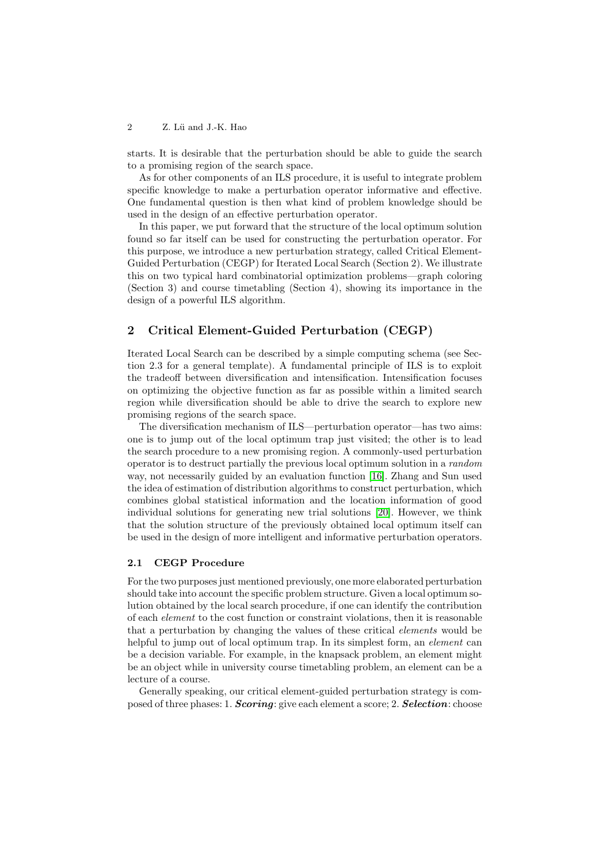starts. It is desirable that the perturbation should be able to guide the search to a promising region of the search space.

As for other components of an ILS procedure, it is useful to integrate problem specific knowledge to make a perturbation operator informative and effective. One fundamental question is then what kind of problem knowledge should be used in the design of an effective perturbation operator.

In this paper, we put forward that the structure of the local optimum solution found so far itself can be used for constructing the perturbation operator. For this purpose, we introduce a new perturbation strategy, called Critical Element-Guided Perturbation (CEGP) for Iterated Local Search (Section 2). We illustrate this on two typical hard combinatorial optimization problems—graph coloring (Section 3) and course timetabling (Section 4), showing its importance in the design of a powerful ILS algorithm.

# **2 Critical Element-Guided Perturbation (CEGP)**

Iterated Local Search can be described by a simple computing schema (see Section 2.3 for a general template). A fundamental principle of ILS is to exploit the tradeoff between diversification and intensification. Intensification focuses on optimizing the objective function as far as possible within a limited search region while diversification should be able to drive the search to explore new promising regions of the search space.

The diversification mechanism of ILS—perturbation operator—has two aims: one is to jump out of the local optimum trap just visited; the other is to lead the search procedure to a new promising region. A commonly-used perturbation operator is to destruct partially the previous local optimum solution in a *random* way, not necessarily guided by an evaluation function [16]. Zhang and Sun used the idea of estimation of distribution algorithms to construct perturbation, which combines global statistical information and the location information of good individual solutions for generating new trial solutions [20]. However, we think that the solution structure of the previously obtained [loc](#page-11-1)al optimum itself can be used in the design of more intelligent and informative perturbation operators.

# **2.1 CEGP Procedure**

For the two purposes just mentioned previously, one more elaborated perturbation should take into account the specific problem structure. Given a local optimum solution obtained by the local search procedure, if one can identify the contribution of each *element* to the cost function or constraint violations, then it is reasonable that a perturbation by changing the values of these critical *elements* would be helpful to jump out of local optimum trap. In its simplest form, an *element* can be a decision variable. For example, in the knapsack problem, an element might be an object while in university course timetabling problem, an element can be a lecture of a course.

Generally speaking, our critical element-guided perturbation strategy is composed of three phases: 1. *Scoring*: give each element a score; 2. *Selection*: choose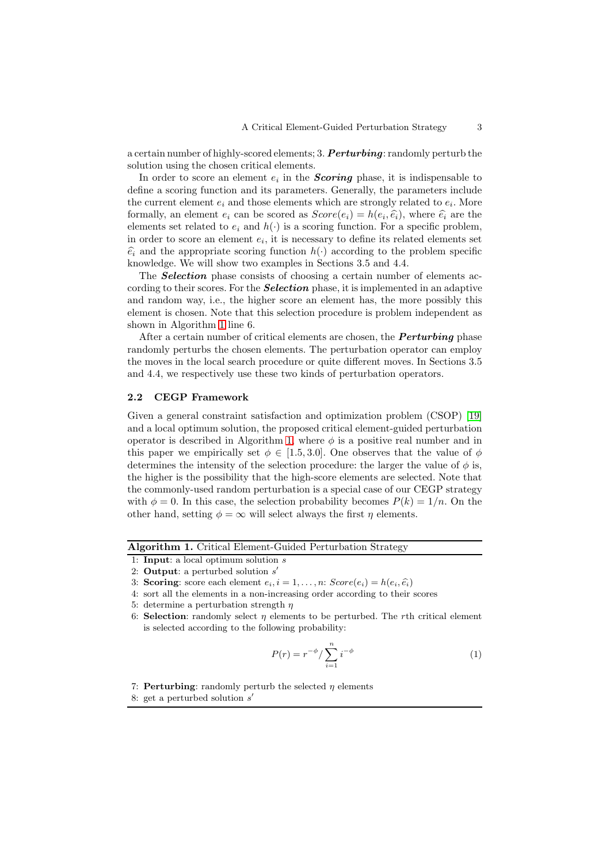a certain number of highly-scored elements; 3. *Perturbing*: randomly perturb the solution using the chosen critical elements.

In order to score an element <sup>e</sup>*<sup>i</sup>* in the *Scoring* phase, it is indispensable to define a scoring function and its parameters. Generally, the parameters include the current element  $e_i$  and those elements which are strongly related to  $e_i$ . More In order to score an element  $e_i$  in the **Scoring** phase, it is indispensable to define a scoring function and its parameters. Generally, the parameters include the current element  $e_i$  and those elements which are strong elements set related to  $e_i$  and  $h(\cdot)$  is a scoring function. For a specific problem, in order to score an element e*i*, it is necessary to define its related elements set  $\text{rel}\ \text{ir}\ \widehat{e_i}$  $\hat{e}_i$  and the appropriate scoring function  $h(\cdot)$  according to the problem specific knowledge. We will show two examples in Sections 3.5 and 4.4.

The *Selection* phase consists of choosing a certain number of elements according to their scores. For the *Selection* phase, it is implemented in an adaptive and random way, i.e., the higher score an element has, the more possibly this element is chosen. Note that this selection procedure is problem independent as shown in Algorithm 1 line 6.

After a certain number of critical elements are chosen, the *Perturbing* phase randomly perturbs the chosen elements. The perturbation operator can employ the moves in the local search procedure or quite different moves. In Sections 3.5 and 4.4, we respecti[ve](#page-2-0)ly use these two kinds of perturbation operators.

### **2.2 CEGP Framework**

Given a general constraint satisfaction and optimization problem (CSOP) [19] and a local optimum solution, the proposed critical element-guided perturbation operator is described in Algorithm 1, where  $\phi$  is a positive real number and in this paper we empirically set  $\phi \in [1.5, 3.0]$ . One observes that the value of  $\phi$ determines the intensity of the selection procedure: the larger the value of  $\phi$  [is,](#page-11-3) the higher is the possibility that the high-score elements are selected. Note that the commonly-used random pertur[bat](#page-2-0)ion is a special case of our CEGP strategy with  $\phi = 0$ . In this case, the selection probability becomes  $P(k) = 1/n$ . On the other hand, setting  $\phi = \infty$  will select always the first  $\eta$  elements.

#### **Algorithm 1.** Critical Element-Guided Perturbation Strategy

- 1: **Input**: a local optimum solution s
- 2: **Output**: a perturbed solution  $s'$
- **SECORDITE:** STRUCAL EXERCITED CONCOUNT EVALUATION STRUCKY<br>
1: **Input:** a local optimum solution *s'*<br>
3: **Scoring**: score each element  $e_i$ ,  $i = 1,...,n$ :  $Score(e_i) = h(e_i, \hat{e_i})$
- 4: sort all the elements in a non-increasing order according to their scores
- <span id="page-2-0"></span>5: determine a perturbation strength  $\eta$
- 6: **Selection**: randomly select  $\eta$  elements to be perturbed. The rth critical element is selected according to the following probability:

$$
P(r) = r^{-\phi} / \sum_{i=1}^{n} i^{-\phi}
$$
 (1)

7: **Perturbing**: randomly perturb the selected  $\eta$  elements

8: get a perturbed solution  $s'$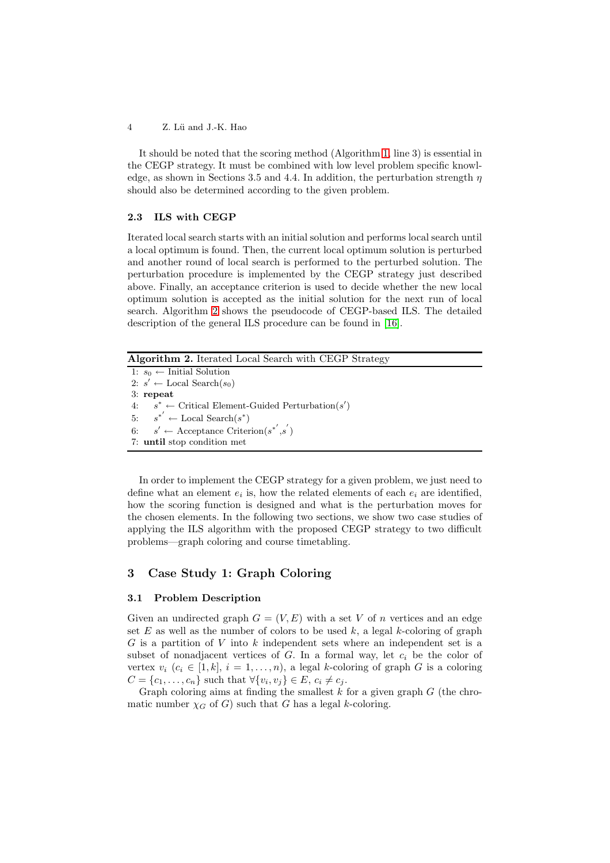It should be noted that the scoring method (Algorithm 1, line 3) is essential in the CEGP strategy. It must be combined with low level problem specific knowledge, as shown in Sections 3.5 and 4.4. In addition, the perturbation strength  $\eta$ should also be determined according to the given problem.

# **2.3 ILS with CEGP**

Iterated local search starts with an initial solution and performs local search until a local optimum is found. Then, the current local optimum solution is perturbed and another round of local search is performed to the perturbed solution. The perturbation procedure is implemented by the CEGP strategy just described above. Finally, an acceptance criterion is used to decide whether the new local optimum solution is accepted as the initial solution for the next run of local search. Algorithm 2 shows the pseudocode of CEGP-based ILS. The detailed description of the general ILS procedure can be found in [16].

**Algorithm 2.** Ite[rat](#page-3-0)ed Local Search with CEGP Strategy

<span id="page-3-0"></span>1:  $s_0 \leftarrow$  Initial Solution 2:  $s' \leftarrow \text{Local Search}(s_0)$ 3: **repeat** 4:  $s^* \leftarrow$  Critical Element-Guided Perturbation(s') 5:  $s^{*'}$  ← Local Search(s<sup>\*</sup>) 6:  $s' \leftarrow \text{Acceptance Criterion}(s^{*'}, s')$ 7: **until** stop condition met

In order to implement the CEGP strategy for a given problem, we just need to define what an element e*<sup>i</sup>* is, how the related elements of each e*<sup>i</sup>* are identified, how the scoring function is designed and what is the perturbation moves for the chosen elements. In the following two sections, we show two case studies of applying the ILS algorithm with the proposed CEGP strategy to two difficult problems—graph coloring and course timetabling.

# **3 Case Study 1: Graph Coloring**

# **3.1 Problem Description**

Given an undirected graph  $G = (V, E)$  with a set V of n vertices and an edge set  $E$  as well as the number of colors to be used  $k$ , a legal  $k$ -coloring of graph G is a partition of V into k independent sets where an independent set is a subset of nonadjacent vertices of  $G$ . In a formal way, let  $c_i$  be the color of vertex  $v_i$  ( $c_i \in [1, k]$ ,  $i = 1, \ldots, n$ ), a legal k-coloring of graph G is a coloring  $C = \{c_1, ..., c_n\}$  such that  $\forall \{v_i, v_j\} \in E, c_i \neq c_j$ .

Graph coloring aims at finding the smallest  $k$  for a given graph  $G$  (the chromatic number  $\chi_G$  of G) such that G has a legal k-coloring.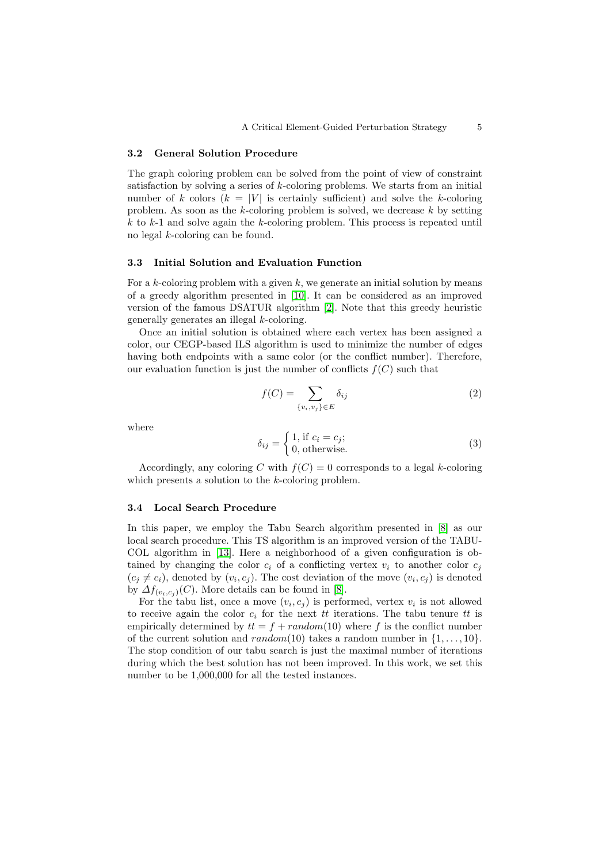### **3.2 General Solution Procedure**

The graph coloring problem can be solved from the point of view of constraint satisfaction by solving a series of  $k$ -coloring problems. We starts from an initial number of k colors  $(k = |V|)$  is certainly sufficient) and solve the k-coloring problem. As soon as the k-coloring problem is solved, we decrease  $k$  by setting  $k$  to  $k-1$  and solve again the  $k$ -coloring problem. This process is repeated until no legal k-coloring can be found.

### **3.3 Initial Solution and Evaluation Function**

For a k-coloring problem with a given  $k$ , we generate an initial solution by means of a greedy algorithm presented in [10]. It can be considered as an improved version of the famous DSATUR algorithm [2]. Note that this greedy heuristic generally generates an illegal k-coloring.

Once an initial solution is obtained where each vertex has been assigned a color, our CEGP-based ILS algorith[m is](#page-11-4) used to minimize the number of edges having both endpoints with a same col[or](#page-10-0) (or the conflict number). Therefore,<br>having both endpoints with a same color (or the conflict number). Therefore,<br> $f(C) = \sum_{i,j} \delta_{ij}$  (2) our evaluation function is just the number of conflicts  $f(C)$  such that

$$
f(C) = \sum_{\{v_i, v_j\} \in E} \delta_{ij} \tag{2}
$$

where

$$
\delta_{ij} = \begin{cases} 1, \text{ if } c_i = c_j; \\ 0, \text{ otherwise.} \end{cases} \tag{3}
$$

Accordingly, any coloring C with  $f(C) = 0$  corresponds to a legal k-coloring which presents a solution to the k-coloring problem.

### **3.4 Local Search Procedure**

In this paper, we employ the Tabu Search algorithm presented in [8] as our local search procedure. This TS algorithm is an improved version of the TABU-COL algorithm in [13]. Here a neighborhood of a given configuration is obtained by changing the color  $c_i$  of a conflicting vertex  $v_i$  to another color  $c_j$  $(c_i \neq c_i)$ , denoted by  $(v_i, c_j)$ . The cost deviation of the move  $(v_i, c_j)$  i[s d](#page-11-5)enoted by  $\Delta f_{(v_i, c_i)}(C)$ . More details can be found in [8].

For the tabu list, [on](#page-11-6)ce a move  $(v_i, c_j)$  is performed, vertex  $v_i$  is not allowed to receive again the color  $c_i$  for the next  $tt$  iterations. The tabu tenure  $tt$  is empirically determined by  $tt = f + random(10)$  where f is the conflict number of the current solution [a](#page-11-5)nd  $random(10)$  takes a random number in  $\{1,\ldots,10\}$ . The stop condition of our tabu search is just the maximal number of iterations during which the best solution has not been improved. In this work, we set this number to be 1,000,000 for all the tested instances.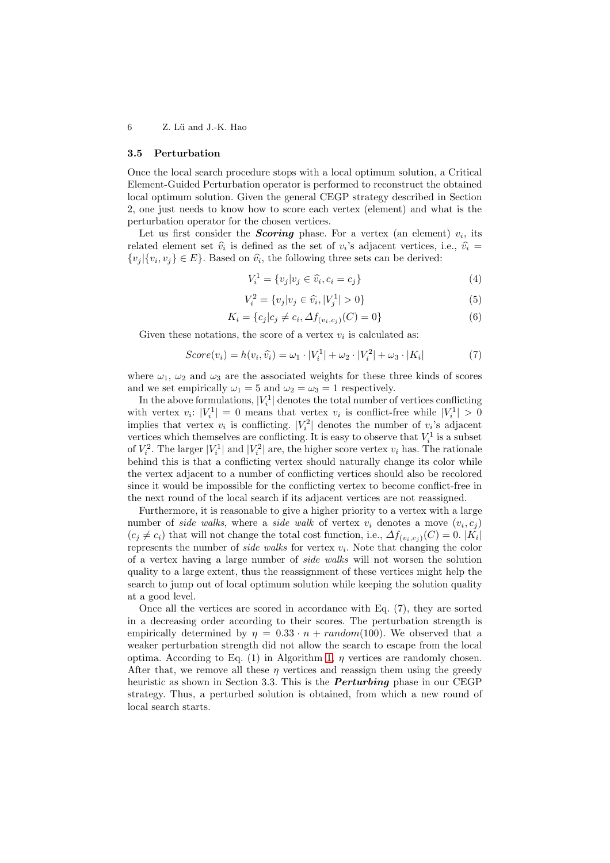#### **3.5 Perturbation**

Once the local search procedure stops with a local optimum solution, a Critical Element-Guided Perturbation operator is performed to reconstruct the obtained local optimum solution. Given the general CEGP strategy described in Section 2, one just needs to know how to score each vertex (element) and what is the perturbation operator for the chosen vertices.

Let us first consider the **Scoring** phase. For a vertex (an element)  $v_i$ , its 2, one just needs to know how to score each vertex (element) and what is the perturbation operator for the chosen vertices.<br>Let us first consider the *Scoring* phase. For a vertex (an element)  $v_i$ , its related element perturbation operator for the<br>Let us first consider the S<br>related element set  $\hat{v}_i$  is defin<br> $\{v_j | \{v_i, v_j\} \in E\}$ . Based on  $\hat{v}_i$  $\{v_i | \{v_i, v_j\} \in E\}$ . Based on  $\hat{v}_i$ , the following three sets can be derived: *i* med as the set  $\hat{v_i}$ , the followin  $z_i^1 = \{v_j | v_j \in \hat{v_i}\}$ 

$$
V_i^1 = \{v_j | v_j \in \widehat{v_i}, c_i = c_j\}
$$
\n
$$
(4)
$$

$$
V_i^1 = \{v_j | v_j \in \hat{v}_i, c_i = c_j\}
$$
  
\n
$$
V_i^2 = \{v_j | v_j \in \hat{v}_i, |V_j^1| > 0\}
$$
\n(4)

$$
K_i = \{c_j | c_j \neq c_i, \Delta f_{(v_i, c_j)}(C) = 0\}
$$
\n(6)

Given these notations, the score of a vertex  $v_i$  is calculated as:

$$
\mathbf{A}_{i} = \{c_{j}|c_{j} \neq c_{i}, \Delta\mathbf{J}(v_{i}, c_{j})\}(\mathbf{C}) = \mathbf{0}\}\tag{0}
$$
\nse notations, the score of a vertex  $v_{i}$  is calculated as:

\n
$$
Score(v_{i}) = h(v_{i}, \hat{v}_{i}) = \omega_{1} \cdot |V_{i}^{1}| + \omega_{2} \cdot |V_{i}^{2}| + \omega_{3} \cdot |K_{i}|\tag{7}
$$

where  $\omega_1$ ,  $\omega_2$  and  $\omega_3$  are the associated weights for these three kinds of scores and we set empirically  $\omega_1 = 5$  and  $\omega_2 = \omega_3 = 1$  respectively.

In the above formulations,  $|V_i^1|$  denotes the total number of vertices conflicting with vertex  $v_i$ :  $|V_i^1| = 0$  means that vertex  $v_i$  is conflict-free while  $|V_i^1| > 0$ implies that vertex  $v_i$  is conflicting.  $|V_i^2|$  denotes the number of  $v_i$ 's adjacent vertices which themselves are conflicting. It is easy to observe that  $V_i^1$  is a subset of  $V_i^2$ . The larger  $|V_i^1|$  and  $|V_i^2|$  are, the higher score vertex  $v_i$  has. The rationale behind this is that a conflicting vertex should naturally change its color while the vertex adjacent to a number of conflicting vertices should also be recolored since it would be impossible for the conflicting vertex to become conflict-free in the next round of the local search if its adjacent vertices are not reassigned.

Furthermore, it is reasonable to give a higher priority to a vertex with a large number of *side walks*, where a *side walk* of vertex  $v_i$  denotes a move  $(v_i, c_j)$  $(c_j \neq c_i)$  that will not change the total cost function, i.e.,  $\Delta f_{(v_i, c_i)}(C) = 0$ .  $|K_i|$ represents the number of *side walks* for vertex v*i*. Note that changing the color of a vertex having a large number of *side walks* will not worsen the solution quality to a large extent, thus the reassignment of these vertices might help the search to jump out of local optimum solution while keeping the solution quality at a good level.

Once all the vertices are scored in accordance with Eq. (7), they are sorted in a decreasing order according to their scores. The perturbation strength is empirically determined by  $\eta = 0.33 \cdot n + \text{random}(100)$ . We observed that a weaker perturbation strength did not allow the search to escape from the local optima. According to Eq. (1) in Algorithm 1,  $\eta$  vertices are randomly chosen. After that, we remove all these  $\eta$  vertices and reassign them using the greedy heuristic as shown in Section 3.3. This is the *Perturbing* phase in our CEGP strategy. Thus, a perturbed solution is obtained, from which a new round of local search starts.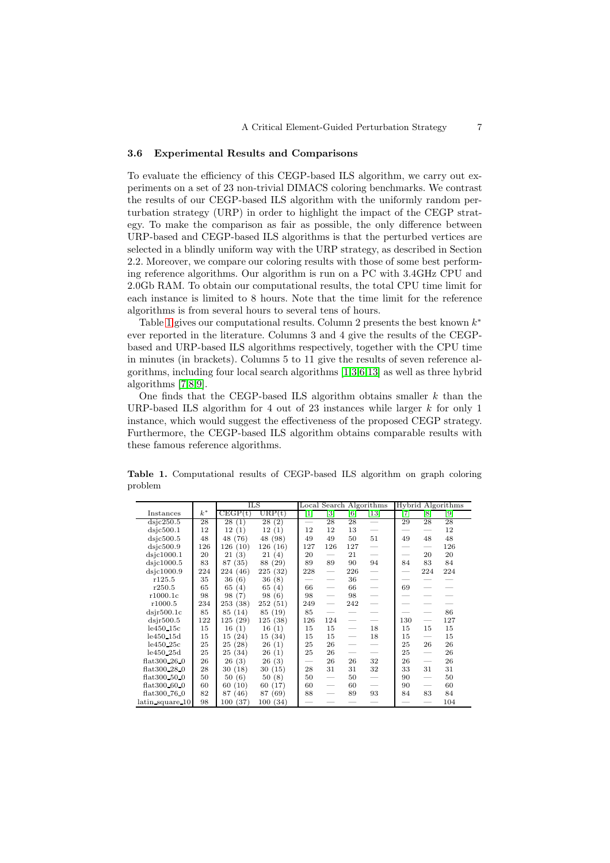#### **3.6 Experimental Results and Comparisons**

To evaluate the efficiency of this CEGP-based ILS algorithm, we carry out experiments on a set of 23 non-trivial DIMACS coloring benchmarks. We contrast the results of our CEGP-based ILS algorithm with the uniformly random perturbation strategy (URP) in order to highlight the impact of the CEGP strategy. To make the comparison as fair as possible, the only difference between URP-based and CEGP-based ILS algorithms is that the perturbed vertices are selected in a blindly uniform way with the URP strategy, as described in Section 2.2. Moreover, we compare our coloring results with those of some best performing reference algorithms. Our algorithm is run on a PC with 3.4GHz CPU and 2.0Gb RAM. To obtain our computational results, the total CPU time limit for each instance is limited to 8 hours. Note that the time limit for the reference algorithms is from several hours to several tens of hours.

Table 1 gives our computational results. Column 2 presents the best known  $k^*$ ever reported in the literature. Columns 3 and 4 give the results of the CEGPbased and URP-based ILS algorithms respectively, together with the CPU time in minutes (in brackets). Columns 5 to 11 give the results of seven reference algorithm[s,](#page-6-0) including four local search algorithms [1,3,6,13] as well as three hybrid algorithms [7,8,9].

One finds that the CEGP-based ILS algorithm obtains smaller  $k$  than the URP-based ILS algorithm for 4 out of 23 instances while larger  $k$  for only 1 instance, which would suggest the effectiveness [of](#page-10-1) [th](#page-10-2)[e](#page-11-7) [pro](#page-11-6)posed CEGP strategy. Furthermor[e,](#page-11-8) [t](#page-11-5)[he](#page-11-9) CEGP-based ILS algorithm obtains comparable results with these famous reference algorithms.

<span id="page-6-0"></span>

|                     |       | ILS                |                                  | Local Search Algorithms |                                 |                          |                                       | Hybrid Algorithms |                                 |     |  |
|---------------------|-------|--------------------|----------------------------------|-------------------------|---------------------------------|--------------------------|---------------------------------------|-------------------|---------------------------------|-----|--|
| Instances           | $k^*$ | CEGP(t)            | $\mathrm{URP}({\textnormal{t}})$ | 1                       | 3                               | 6                        | 13                                    | 7                 | 8                               | 9   |  |
| $ds$ jc $250.5$     | 28    | $\overline{28}(1)$ | 28(2)                            |                         | 28                              | 28                       | $\overbrace{\qquad \qquad }^{}$       | 29                | 28                              | 28  |  |
| $ds$ jc $500.1$     | 12    | 12(1)              | 12(1)                            | 12                      | 12                              | 13                       |                                       |                   | $\overline{\phantom{a}}$        | 12  |  |
| dsic500.5           | 48    | 48 (76)            | 48 (98)                          | 49                      | 49                              | 50                       | 51                                    | 49                | 48                              | 48  |  |
| $ds$ jc $500.9$     | 126   | 126 (10)           | 126(16)                          | 127                     | 126                             | 127                      | $\overbrace{\qquad \qquad }^{}$       |                   | $\overline{\phantom{a}}$        | 126 |  |
| dsic1000.1          | 20    | (3)<br>21          | 21(4)                            | 20                      |                                 | 21                       |                                       |                   | 20                              | 20  |  |
| dsic1000.5          | 83    | 87 (35)            | 88 (29)                          | 89                      | 89                              | 90                       | 94                                    | 84                | 83                              | 84  |  |
| dsic1000.9          | 224   | 224 (46)           | 225 (32)                         | 228                     |                                 | 226                      | $\overbrace{\qquad \qquad }^{}$       |                   | 224                             | 224 |  |
| r125.5              | 35    | (6)<br>36          | 36(8)                            |                         |                                 | 36                       |                                       |                   |                                 |     |  |
| r250.5              | 65    | 65<br>(4)          | 65(4)                            | 66                      | $\overbrace{\qquad \qquad }^{}$ | 66                       |                                       | 69                |                                 |     |  |
| r1000.1c            | 98    | 98<br>(7)          | 98(6)                            | 98                      | $\overbrace{\qquad \qquad }^{}$ | 98                       |                                       |                   |                                 |     |  |
| r1000.5             | 234   | 253 (38)           | 252 (51)                         | 249                     | $\overbrace{\qquad \qquad }^{}$ | 242                      | $\overline{\phantom{0}}$              |                   |                                 |     |  |
| $ds$ ir $500.1c$    | 85    | 85 (14)            | 85 (19)                          | 85                      |                                 |                          |                                       |                   |                                 | 86  |  |
| $ds$ jr $500.5$     | 122   | 125 (29)           | 125 (38)                         | 126                     | 124                             | $\overline{\phantom{0}}$ |                                       | 130               | $\overline{\phantom{0}}$        | 127 |  |
| le450.15c           | 15    | 16(1)              | 16(1)                            | 15                      | 15                              | $\overline{\phantom{0}}$ | 18                                    | 15                | 15                              | 15  |  |
| le450_15d           | 15    | (24)<br>15         | 15 (34)                          | 15                      | 15                              | $\overline{\phantom{0}}$ | 18                                    | 15                |                                 | 15  |  |
| le450.25c           | 25    | (28)<br>25         | 26(1)                            | 25                      | 26                              |                          |                                       | 25                | 26                              | 26  |  |
| $le450-25d$         | 25    | 25(34)             | 26(1)                            | 25                      | 26                              |                          |                                       | 25                |                                 | 26  |  |
| flat300.26.0        | 26    | 26(3)              | 26(3)                            |                         | 26                              | 26                       | 32                                    | 26                |                                 | 26  |  |
| flat300, 28, 0      | 28    | 30(18)             | 30(15)                           | 28                      | 31                              | 31                       | 32                                    | 33                | 31                              | 31  |  |
| flat300 50 0        | 50    | 50(6)              | 50(8)                            | 50                      | $\overbrace{\qquad \qquad }^{}$ | 50                       | $\hspace{1.0cm} \rule{1.5cm}{0.15cm}$ | 90                |                                 | 50  |  |
| flat300.60.0        | 60    | (10)<br>60         | 60 (17)                          | 60                      | $\hspace{0.1mm}-\hspace{0.1mm}$ | 60                       |                                       | 90                | $\overbrace{\qquad \qquad }^{}$ | 60  |  |
| flat300.76.0        | 82    | 87 (46)            | 87 (69)                          | 88                      |                                 | 89                       | 93                                    | 84                | 83                              | 84  |  |
| $latin$ square $10$ | 98    | 100 (37)           | 100(34)                          |                         |                                 |                          |                                       |                   | $\overbrace{\qquad \qquad }^{}$ | 104 |  |

**Table 1.** Computational results of CEGP-based ILS algorithm on graph coloring problem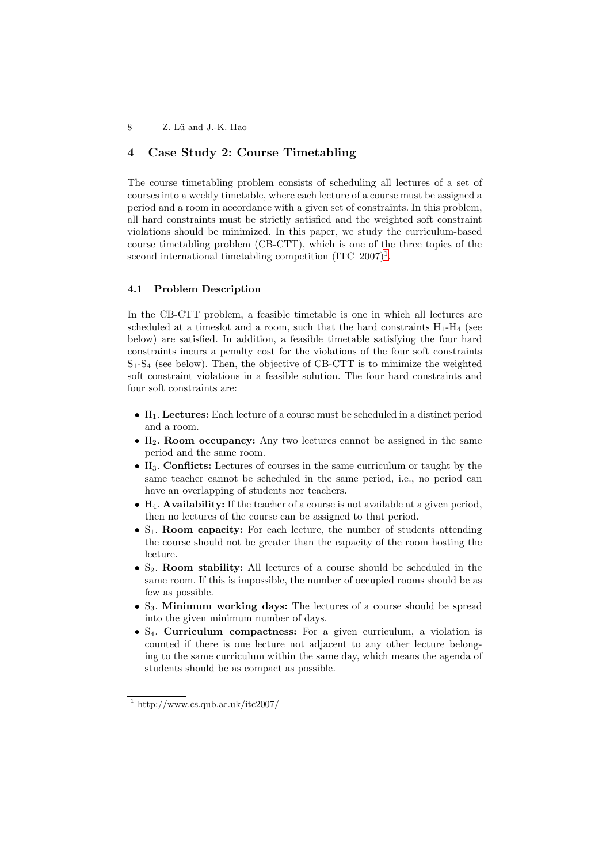# **4 Case Study 2: Course Timetabling**

The course timetabling problem consists of scheduling all lectures of a set of courses into a weekly timetable, where each lecture of a course must be assigned a period and a room in accordance with a given set of constraints. In this problem, all hard constraints must be strictly satisfied and the weighted soft constraint violations should be minimized. In this paper, we study the curriculum-based course timetabling problem (CB-CTT), which is one of the three topics of the second international timetabling competition  $(ITC-2007)^{1}$ .

# **4.1 Problem Description**

In the CB-CTT problem, a feasible timetable is one in [w](#page-7-0)hich all lectures are scheduled at a timeslot and a room, such that the hard constraints  $H_1-H_4$  (see below) are satisfied. In addition, a feasible timetable satisfying the four hard constraints incurs a penalty cost for the violations of the four soft constraints  $S_1-S_4$  (see below). Then, the objective of CB-CTT is to minimize the weighted soft constraint violations in a feasible solution. The four hard constraints and four soft constraints are:

- H1. **Lectures:** Each lecture of a course must be scheduled in a distinct period and a room.
- H2. **Room occupancy:** Any two lectures cannot be assigned in the same period and the same room.
- H3. **Conflicts:** Lectures of courses in the same curriculum or taught by the same teacher cannot be scheduled in the same period, i.e., no period can have an overlapping of students nor teachers.
- H4. **Availability:** If the teacher of a course is not available at a given period, then no lectures of the course can be assigned to that period.
- $S_1$ . **Room capacity:** For each lecture, the number of students attending the course should not be greater than the capacity of the room hosting the lecture.
- S2. **Room stability:** All lectures of a course should be scheduled in the same room. If this is impossible, the number of occupied rooms should be as few as possible.
- S<sub>3</sub>. **Minimum working days:** The lectures of a course should be spread into the given minimum number of days.
- S4. **Curriculum compactness:** For a given curriculum, a violation is counted if there is one lecture not adjacent to any other lecture belonging to the same curriculum within the same day, which means the agenda of students should be as compact as possible.

<span id="page-7-0"></span> $1 \text{ http://www.cs.qub.ac.uk/itz2007/}$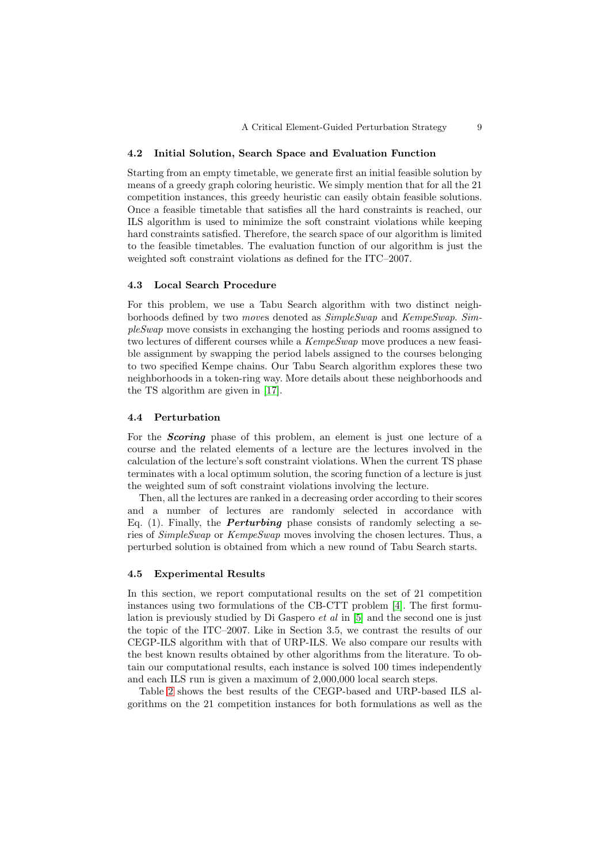#### **4.2 Initial Solution, Search Space and Evaluation Function**

Starting from an empty timetable, we generate first an initial feasible solution by means of a greedy graph coloring heuristic. We simply mention that for all the 21 competition instances, this greedy heuristic can easily obtain feasible solutions. Once a feasible timetable that satisfies all the hard constraints is reached, our ILS algorithm is used to minimize the soft constraint violations while keeping hard constraints satisfied. Therefore, the search space of our algorithm is limited to the feasible timetables. The evaluation function of our algorithm is just the weighted soft constraint violations as defined for the ITC–2007.

#### **4.3 Local Search Procedure**

For this problem, we use a Tabu Search algorithm with two distinct neighborhoods defined by two *move*s denoted as *SimpleSwap* and *KempeSwap*. *SimpleSwap* move consists in exchanging the hosting periods and rooms assigned to two lectures of different courses while a *KempeSwap* move produces a new feasible assignment by swapping the period labels assigned to the courses belonging to two specified Kempe chains. Our Tabu Search algorithm explores these two neighborhoods in a token-ring way. More details about these neighborhoods and the TS algorithm are given in [17].

## **4.4 Perturbation**

For the *Scoring* phase of th[is p](#page-11-10)roblem, an element is just one lecture of a course and the related elements of a lecture are the lectures involved in the calculation of the lecture's soft constraint violations. When the current TS phase terminates with a local optimum solution, the scoring function of a lecture is just the weighted sum of soft constraint violations involving the lecture.

Then, all the lectures are ranked in a decreasing order according to their scores and a number of lectures are randomly selected in accordance with Eq. (1). Finally, the *Perturbing* phase consists of randomly selecting a series of *SimpleSwap* or *KempeSwap* moves involving the chosen lectures. Thus, a perturbed solution is obtained from which a new round of Tabu Search starts.

### **4.5 Experimental Results**

In this section, we report computational results on the set of 21 competition instances using two formulations of the CB-CTT problem [4]. The first formulation is previously studied by Di Gaspero *et al* in [5] and the second one is just the topic of the ITC–2007. Like in Section 3.5, we contrast the results of our CEGP-ILS algorithm with that of URP-ILS. We also compare our results with the best known results obtained by other algorithms from t[he](#page-10-3) literature. To obtain our computational results, each instance is sol[ve](#page-10-4)d 100 times independently and each ILS run is given a maximum of 2,000,000 local search steps.

Table 2 shows the best results of the CEGP-based and URP-based ILS algorithms on the 21 competition instances for both formulations as well as the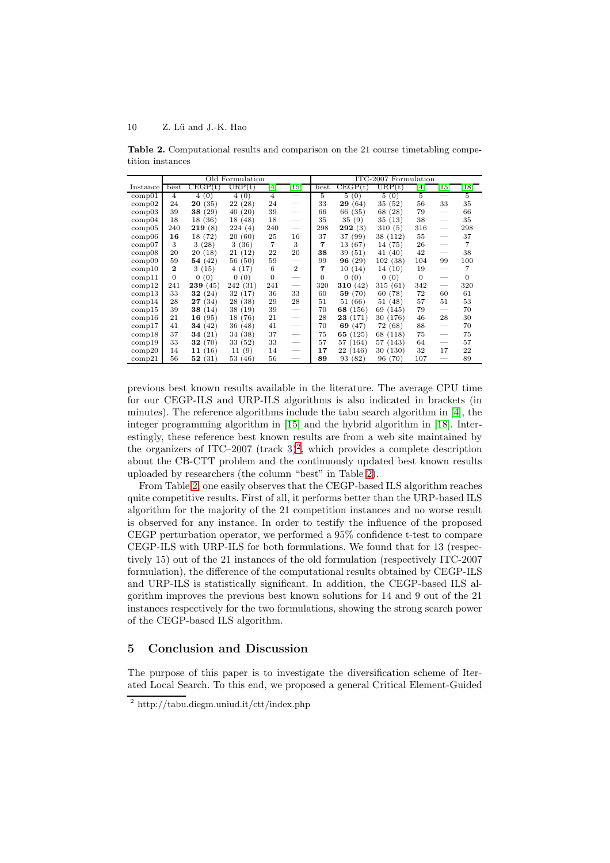**Table 2.** Computational results and comparison on the 21 course timetabling competition instances

<span id="page-9-1"></span>

|          | Old Formulation |                    |            |                                                                                                                                                                                                                                                                                                                                                                               | ITC-2007 Formulation                  |          |            |                            |                |                                       |          |
|----------|-----------------|--------------------|------------|-------------------------------------------------------------------------------------------------------------------------------------------------------------------------------------------------------------------------------------------------------------------------------------------------------------------------------------------------------------------------------|---------------------------------------|----------|------------|----------------------------|----------------|---------------------------------------|----------|
| Instance | best            | CEGP(t)            | URP(t)     | $[4] \centering% \includegraphics[width=1\textwidth]{images/TransY.pdf}% \caption{The figure shows the estimators in the figure shows the estimators in the figure shows the number of different types of the estimators. The left is the number of different types of the real parts are indicated with the number of different types of the real parts.} \label{fig:class}$ | 15 <sup>1</sup>                       | best     | CEGP(t)    | $\overline{\text{URP}}(t)$ | $\overline{4}$ | 15 <sup>1</sup>                       | 18       |
| comp01   | $\overline{4}$  | 4(0)               | 4(0)       | $\overline{4}$                                                                                                                                                                                                                                                                                                                                                                |                                       | 5        | 5(0)       | 5(0)                       | 5              |                                       | 5        |
| comp02   | 24              | (35)<br>20         | (28)<br>22 | 24                                                                                                                                                                                                                                                                                                                                                                            |                                       | 33       | 29(64)     | 35(52)                     | 56             | 33                                    | 35       |
| comp03   | 39              | (29)<br>38         | (20)<br>40 | 39                                                                                                                                                                                                                                                                                                                                                                            | $\hspace{1.0cm} \rule{1.5cm}{0.15cm}$ | 66       | 66 (35)    | 68<br>(28)                 | 79             | $\hspace{1.0cm} \rule{1.5cm}{0.15cm}$ | 66       |
| comp04   | 18              | 18(36)             | 18 (48)    | 18                                                                                                                                                                                                                                                                                                                                                                            | $\overbrace{\qquad \qquad }^{}$       | 35       | 35(9)      | 35(13)                     | 38             |                                       | 35       |
| comp05   | 240             | 219(8)             | 224(4)     | 240                                                                                                                                                                                                                                                                                                                                                                           |                                       | 298      | 292(3)     | 310(5)                     | 316            |                                       | 298      |
| comp06   | 16              | 18 (72)            | 20(60)     | 25                                                                                                                                                                                                                                                                                                                                                                            | 16                                    | 37       | 37 (99)    | 38 (112)                   | 55             |                                       | 37       |
| comp07   | 3               | 3(28)              | 3(36)      | $\overline{7}$                                                                                                                                                                                                                                                                                                                                                                | 3                                     | 7        | 13 (67)    | 14 (75)                    | 26             |                                       | 7        |
| comp08   | 20              | 20(18)             | (12)<br>21 | 22                                                                                                                                                                                                                                                                                                                                                                            | 20                                    | 38       | 39 (51)    | 41 (40)                    | 42             |                                       | 38       |
| comp09   | 59              | 54 $(42)$          | 56 (50)    | 59                                                                                                                                                                                                                                                                                                                                                                            | $\overbrace{\qquad \qquad }^{}$       | 99       | 96(29)     | 102(38)                    | 104            | 99                                    | 100      |
| comp10   | $\mathbf 2$     | 3(15)              | 4(17)      | 6                                                                                                                                                                                                                                                                                                                                                                             | $\overline{2}$                        | 7        | 10(14)     | 14(10)                     | 19             |                                       | 7        |
| comp11   | $\Omega$        | 0(0)               | 0(0)       | $\Omega$                                                                                                                                                                                                                                                                                                                                                                      | $\overline{\phantom{a}}$              | $\Omega$ | 0(0)       | 0(0)                       | $\overline{0}$ |                                       | $\Omega$ |
| comp12   | 241             | 239(45)            | 242(31)    | 241                                                                                                                                                                                                                                                                                                                                                                           |                                       | 320      | 310 $(42)$ | 315(61)                    | 342            |                                       | 320      |
| comp13   | 33              | 32(24)             | 32 (17)    | 36                                                                                                                                                                                                                                                                                                                                                                            | 33                                    | 60       | 59(70)     | 60 (78)                    | 72             | 60                                    | 61       |
| comp14   | 28              | ${\bf 27}$<br>(34) | (38)<br>28 | 29                                                                                                                                                                                                                                                                                                                                                                            | 28                                    | 51       | 51 (66)    | 51(48)                     | 57             | 51                                    | 53       |
| comp15   | 39              | 38<br>(14)         | 38<br>(19) | 39                                                                                                                                                                                                                                                                                                                                                                            | $\hspace{1.0cm} \rule{1.5cm}{0.15cm}$ | 70       | 68 (156)   | 69 (145)                   | 79             |                                       | 70       |
| comp16   | 21              | (95)<br>16         | (76)<br>18 | 21                                                                                                                                                                                                                                                                                                                                                                            | $\hspace{1.0cm} \rule{1.5cm}{0.15cm}$ | 28       | 23(171)    | 30 (176)                   | 46             | 28                                    | 30       |
| comp17   | 41              | 34 (42)            | 36<br>(48) | 41                                                                                                                                                                                                                                                                                                                                                                            | $\hspace{1.0cm} \rule{1.5cm}{0.15cm}$ | 70       | 69 (47)    | 72 (68)                    | 88             |                                       | 70       |
| comp18   | 37              | 34 $(21)$          | 34 (38)    | 37                                                                                                                                                                                                                                                                                                                                                                            | $\overbrace{\phantom{12333}}$         | 75       | 65 (125)   | 68 (118)                   | 75             |                                       | 75       |
| comp19   | 33              | <b>32</b> (70)     | 33 (52)    | 33                                                                                                                                                                                                                                                                                                                                                                            |                                       | 57       | 57 (164)   | 57 (143)                   | 64             |                                       | 57       |
| comp20   | 14              | (16)<br>11         | 11(9)      | 14                                                                                                                                                                                                                                                                                                                                                                            |                                       | 17       | 22 (146)   | 30(130)                    | 32             | 17                                    | 22       |
| comp21   | 56              | 52(31)             | 53 (46)    | 56                                                                                                                                                                                                                                                                                                                                                                            |                                       | 89       | 93 (82)    | 96 (70)                    | 107            |                                       | 89       |

previous best known results available in the literature. The average CPU time for our CEGP-ILS and URP-ILS algorithms is also indicated in brackets (in minutes). The reference algorithms include the tabu search algorithm in [4], the integer programming algorithm in [15] and the hybrid algorithm in [18]. Interestingly, these reference best known results are from a web site maintained by the organizers of ITC–2007 (track  $3^2$ , which provides a complete description about the CB-CTT problem and the continuously updated best known [re](#page-10-3)sults uploaded by researchers (the colum[n "](#page-11-11)best" in Table 2).

From Table 2, one easily observes that the CEGP-based ILS algorithm reaches quite competitive results. First of all, [it](#page-9-0) performs better than the URP-based ILS algorithm for the majority of the 21 competition instances and no worse result is observed for any instance. In order to testify the [in](#page-9-1)fluence of the proposed CEGP pertur[bat](#page-9-1)ion operator, we performed a 95% confidence t-test to compare CEGP-ILS with URP-ILS for both formulations. We found that for 13 (respectively 15) out of the 21 instances of the old formulation (respectively ITC-2007 formulation), the difference of the computational results obtained by CEGP-ILS and URP-ILS is statistically significant. In addition, the CEGP-based ILS algorithm improves the previous best known solutions for 14 and 9 out of the 21 instances respectively for the two formulations, showing the strong search power of the CEGP-based ILS algorithm.

# **5 Conclusion and Discussion**

The purpose of this paper is to investigate the diversification scheme of Iterated Local Search. To this end, we proposed a general Critical Element-Guided

<span id="page-9-0"></span> $\frac{2 \text{ http://tabu.diegm.uniud.it/ctt/index.php}}{2}$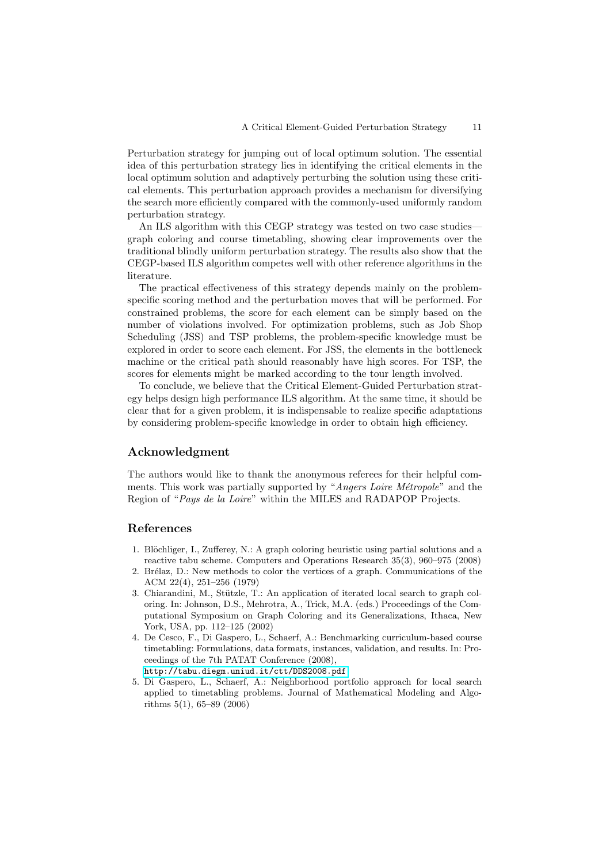Perturbation strategy for jumping out of local optimum solution. The essential idea of this perturbation strategy lies in identifying the critical elements in the local optimum solution and adaptively perturbing the solution using these critical elements. This perturbation approach provides a mechanism for diversifying the search more efficiently compared with the commonly-used uniformly random perturbation strategy.

An ILS algorithm with this CEGP strategy was tested on two case studies graph coloring and course timetabling, showing clear improvements over the traditional blindly uniform perturbation strategy. The results also show that the CEGP-based ILS algorithm competes well with other reference algorithms in the literature.

The practical effectiveness of this strategy depends mainly on the problemspecific scoring method and the perturbation moves that will be performed. For constrained problems, the score for each element can be simply based on the number of violations involved. For optimization problems, such as Job Shop Scheduling (JSS) and TSP problems, the problem-specific knowledge must be explored in order to score each element. For JSS, the elements in the bottleneck machine or the critical path should reasonably have high scores. For TSP, the scores for elements might be marked according to the tour length involved.

To conclude, we believe that the Critical Element-Guided Perturbation strategy helps design high performance ILS algorithm. At the same time, it should be clear that for a given problem, it is indispensable to realize specific adaptations by considering problem-specific knowledge in order to obtain high efficiency.

# **Acknowledgment**

The authors would like to thank the anonymous referees for their helpful comments. This work was partially supported by "*Angers Loire M´etropole*" and the Region of "*Pays de la Loire*" within the MILES and RADAPOP Projects.

# **References**

- 1. Blöchliger, I., Zufferey, N.: A graph coloring heuristic using partial solutions and a reactive tabu scheme. Computers and Operations Research 35(3), 960–975 (2008)
- 2. Brélaz, D.: New methods to color the vertices of a graph. Communications of the ACM 22(4), 251–256 (1979)
- <span id="page-10-1"></span><span id="page-10-0"></span>3. Chiarandini, M., Stützle, T.: An application of iterated local search to graph coloring. In: Johnson, D.S., Mehrotra, A., Trick, M.A. (eds.) Proceedings of the Computational Symposium on Graph Coloring and its Generalizations, Ithaca, New York, USA, pp. 112–125 (2002)
- <span id="page-10-2"></span>4. De Cesco, F., Di Gaspero, L., Schaerf, A.: Benchmarking curriculum-based course timetabling: Formulations, data formats, instances, validation, and results. In: Proceedings of the 7th PATAT Conference (2008),

http://tabu.diegm.uniud.it/ctt/DDS2008.pdf

<span id="page-10-4"></span><span id="page-10-3"></span>5. Di Gaspero, L., Schaerf, A.: Neighborhood portfolio approach for local search applied to timetabling problems. Journal of Mathematical Modeling and Algorithms 5(1), 65–89 (2006)